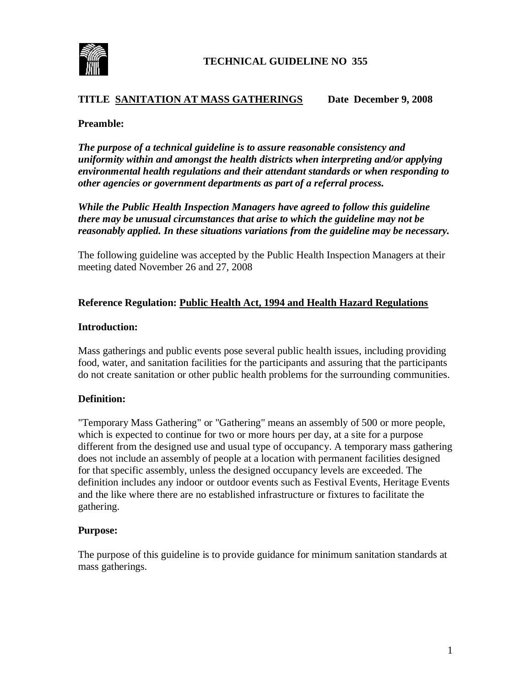

### **TITLE SANITATION AT MASS GATHERINGS Date December 9, 2008**

#### **Preamble:**

*The purpose of a technical guideline is to assure reasonable consistency and uniformity within and amongst the health districts when interpreting and/or applying environmental health regulations and their attendant standards or when responding to other agencies or government departments as part of a referral process.*

*While the Public Health Inspection Managers have agreed to follow this guideline there may be unusual circumstances that arise to which the guideline may not be reasonably applied. In these situations variations from the guideline may be necessary.*

The following guideline was accepted by the Public Health Inspection Managers at their meeting dated November 26 and 27, 2008

### **Reference Regulation: Public Health Act, 1994 and Health Hazard Regulations**

#### **Introduction:**

Mass gatherings and public events pose several public health issues, including providing food, water, and sanitation facilities for the participants and assuring that the participants do not create sanitation or other public health problems for the surrounding communities.

#### **Definition:**

"Temporary Mass Gathering" or "Gathering" means an assembly of 500 or more people, which is expected to continue for two or more hours per day, at a site for a purpose different from the designed use and usual type of occupancy. A temporary mass gathering does not include an assembly of people at a location with permanent facilities designed for that specific assembly, unless the designed occupancy levels are exceeded. The definition includes any indoor or outdoor events such as Festival Events, Heritage Events and the like where there are no established infrastructure or fixtures to facilitate the gathering.

#### **Purpose:**

The purpose of this guideline is to provide guidance for minimum sanitation standards at mass gatherings.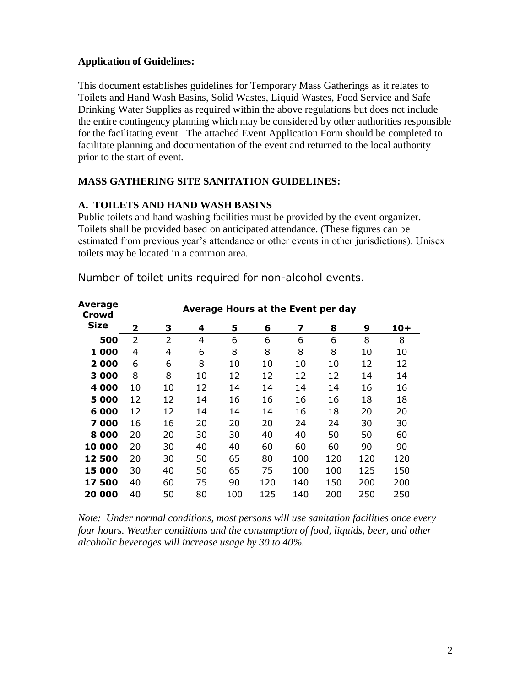## **Application of Guidelines:**

**Average** 

This document establishes guidelines for Temporary Mass Gatherings as it relates to Toilets and Hand Wash Basins, Solid Wastes, Liquid Wastes, Food Service and Safe Drinking Water Supplies as required within the above regulations but does not include the entire contingency planning which may be considered by other authorities responsible for the facilitating event. The attached Event Application Form should be completed to facilitate planning and documentation of the event and returned to the local authority prior to the start of event.

# **MASS GATHERING SITE SANITATION GUIDELINES:**

# **A. TOILETS AND HAND WASH BASINS**

Public toilets and hand washing facilities must be provided by the event organizer. Toilets shall be provided based on anticipated attendance. (These figures can be estimated from previous year's attendance or other events in other jurisdictions). Unisex toilets may be located in a common area.

| Average<br>Crowd | Average Hours at the Event per day |    |    |     |     |     |     |     |       |
|------------------|------------------------------------|----|----|-----|-----|-----|-----|-----|-------|
| <b>Size</b>      | 2                                  | 3  | 4  | 5   | 6   | 7   | 8   | 9   | $10+$ |
| 500              | $\overline{2}$                     | 2  | 4  | 6   | 6   | 6   | 6   | 8   | 8     |
| 1 000            | 4                                  | 4  | 6  | 8   | 8   | 8   | 8   | 10  | 10    |
| 2 000            | 6                                  | 6  | 8  | 10  | 10  | 10  | 10  | 12  | 12    |
| 3 000            | 8                                  | 8  | 10 | 12  | 12  | 12  | 12  | 14  | 14    |
| 4 000            | 10                                 | 10 | 12 | 14  | 14  | 14  | 14  | 16  | 16    |
| 5 000            | 12                                 | 12 | 14 | 16  | 16  | 16  | 16  | 18  | 18    |
| 6 000            | 12                                 | 12 | 14 | 14  | 14  | 16  | 18  | 20  | 20    |
| 7000             | 16                                 | 16 | 20 | 20  | 20  | 24  | 24  | 30  | 30    |
| 8 0 0 0          | 20                                 | 20 | 30 | 30  | 40  | 40  | 50  | 50  | 60    |
| 10 000           | 20                                 | 30 | 40 | 40  | 60  | 60  | 60  | 90  | 90    |
| 12 500           | 20                                 | 30 | 50 | 65  | 80  | 100 | 120 | 120 | 120   |
| 15 000           | 30                                 | 40 | 50 | 65  | 75  | 100 | 100 | 125 | 150   |
| 17500            | 40                                 | 60 | 75 | 90  | 120 | 140 | 150 | 200 | 200   |
| 20 000           | 40                                 | 50 | 80 | 100 | 125 | 140 | 200 | 250 | 250   |
|                  |                                    |    |    |     |     |     |     |     |       |

Number of toilet units required for non-alcohol events.

*Note: Under normal conditions, most persons will use sanitation facilities once every four hours. Weather conditions and the consumption of food, liquids, beer, and other alcoholic beverages will increase usage by 30 to 40%.*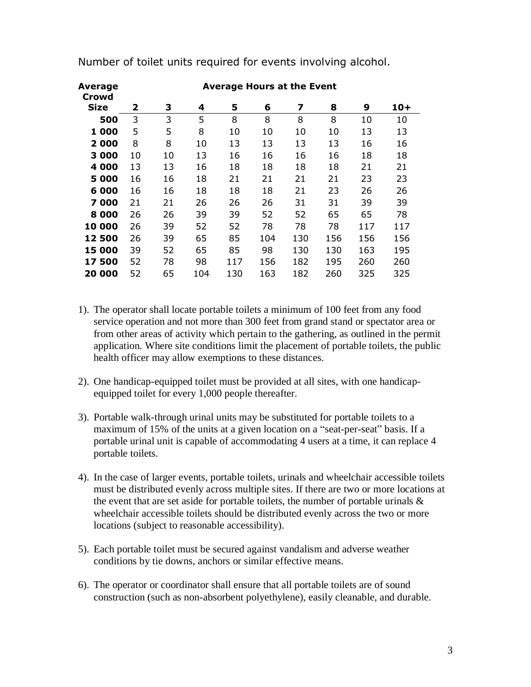| Average<br>Crowd | <b>Average Hours at the Event</b> |    |     |     |     |     |     |     |       |
|------------------|-----------------------------------|----|-----|-----|-----|-----|-----|-----|-------|
| <b>Size</b>      | 2                                 | 3  | 4   | 5   | 6   | 7   | 8   | 9   | $10+$ |
| 500              | 3                                 | 3  | 5   | 8   | 8   | 8   | 8   | 10  | 10    |
| 1 000            | 5                                 | 5  | 8   | 10  | 10  | 10  | 10  | 13  | 13    |
| 2000             | 8                                 | 8  | 10  | 13  | 13  | 13  | 13  | 16  | 16    |
| 3 000            | 10                                | 10 | 13  | 16  | 16  | 16  | 16  | 18  | 18    |
| 4 000            | 13                                | 13 | 16  | 18  | 18  | 18  | 18  | 21  | 21    |
| 5 000            | 16                                | 16 | 18  | 21  | 21  | 21  | 21  | 23  | 23    |
| 6000             | 16                                | 16 | 18  | 18  | 18  | 21  | 23  | 26  | 26    |
| 7 000            | 21                                | 21 | 26  | 26  | 26  | 31  | 31  | 39  | 39    |
| 8 0 0 0          | 26                                | 26 | 39  | 39  | 52  | 52  | 65  | 65  | 78    |
| 10 000           | 26                                | 39 | 52  | 52  | 78  | 78  | 78  | 117 | 117   |
| 12 500           | 26                                | 39 | 65  | 85  | 104 | 130 | 156 | 156 | 156   |
| 15 000           | 39                                | 52 | 65  | 85  | 98  | 130 | 130 | 163 | 195   |
| 17 500           | 52                                | 78 | 98  | 117 | 156 | 182 | 195 | 260 | 260   |
| 20 000           | 52                                | 65 | 104 | 130 | 163 | 182 | 260 | 325 | 325   |

Number of toilet units required for events involving alcohol.

- 1). The operator shall locate portable toilets a minimum of 100 feet from any food service operation and not more than 300 feet from grand stand or spectator area or from other areas of activity which pertain to the gathering, as outlined in the permit application. Where site conditions limit the placement of portable toilets, the public health officer may allow exemptions to these distances.
- 2). One handicap-equipped toilet must be provided at all sites, with one handicapequipped toilet for every 1,000 people thereafter.
- 3). Portable walk-through urinal units may be substituted for portable toilets to a maximum of 15% of the units at a given location on a "seat-per-seat" basis. If a portable urinal unit is capable of accommodating 4 users at a time, it can replace 4 portable toilets.
- 4). In the case of larger events, portable toilets, urinals and wheelchair accessible toilets must be distributed evenly across multiple sites. If there are two or more locations at the event that are set aside for portable toilets, the number of portable urinals & wheelchair accessible toilets should be distributed evenly across the two or more locations (subject to reasonable accessibility).
- 5). Each portable toilet must be secured against vandalism and adverse weather conditions by tie downs, anchors or similar effective means.
- 6). The operator or coordinator shall ensure that all portable toilets are of sound construction (such as non-absorbent polyethylene), easily cleanable, and durable.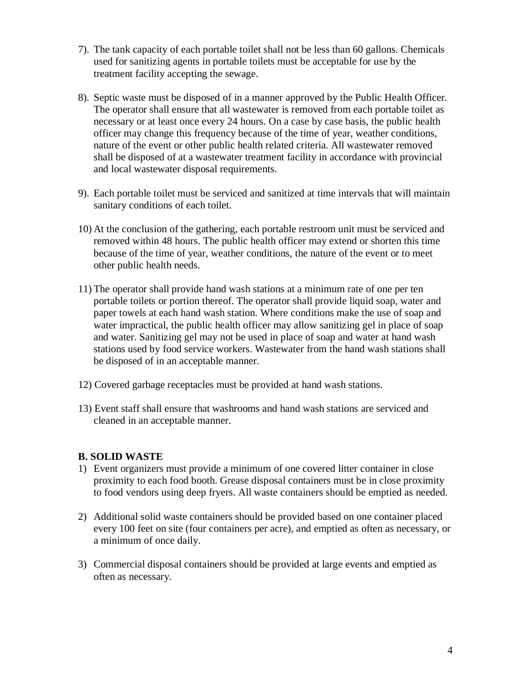- 7). The tank capacity of each portable toilet shall not be less than 60 gallons. Chemicals used for sanitizing agents in portable toilets must be acceptable for use by the treatment facility accepting the sewage.
- 8). Septic waste must be disposed of in a manner approved by the Public Health Officer. The operator shall ensure that all wastewater is removed from each portable toilet as necessary or at least once every 24 hours. On a case by case basis, the public health officer may change this frequency because of the time of year, weather conditions, nature of the event or other public health related criteria. All wastewater removed shall be disposed of at a wastewater treatment facility in accordance with provincial and local wastewater disposal requirements.
- 9). Each portable toilet must be serviced and sanitized at time intervals that will maintain sanitary conditions of each toilet.
- 10) At the conclusion of the gathering, each portable restroom unit must be serviced and removed within 48 hours. The public health officer may extend or shorten this time because of the time of year, weather conditions, the nature of the event or to meet other public health needs.
- 11) The operator shall provide hand wash stations at a minimum rate of one per ten portable toilets or portion thereof. The operator shall provide liquid soap, water and paper towels at each hand wash station. Where conditions make the use of soap and water impractical, the public health officer may allow sanitizing gel in place of soap and water. Sanitizing gel may not be used in place of soap and water at hand wash stations used by food service workers. Wastewater from the hand wash stations shall be disposed of in an acceptable manner.
- 12) Covered garbage receptacles must be provided at hand wash stations.
- 13) Event staff shall ensure that washrooms and hand wash stations are serviced and cleaned in an acceptable manner.

# **B. SOLID WASTE**

- 1) Event organizers must provide a minimum of one covered litter container in close proximity to each food booth. Grease disposal containers must be in close proximity to food vendors using deep fryers. All waste containers should be emptied as needed.
- 2) Additional solid waste containers should be provided based on one container placed every 100 feet on site (four containers per acre), and emptied as often as necessary, or a minimum of once daily.
- 3) Commercial disposal containers should be provided at large events and emptied as often as necessary.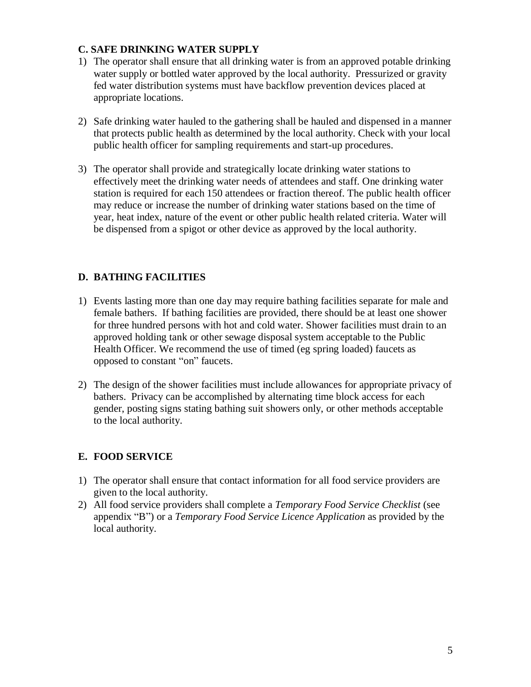## **C. SAFE DRINKING WATER SUPPLY**

- 1) The operator shall ensure that all drinking water is from an approved potable drinking water supply or bottled water approved by the local authority. Pressurized or gravity fed water distribution systems must have backflow prevention devices placed at appropriate locations.
- 2) Safe drinking water hauled to the gathering shall be hauled and dispensed in a manner that protects public health as determined by the local authority. Check with your local public health officer for sampling requirements and start-up procedures.
- 3) The operator shall provide and strategically locate drinking water stations to effectively meet the drinking water needs of attendees and staff. One drinking water station is required for each 150 attendees or fraction thereof. The public health officer may reduce or increase the number of drinking water stations based on the time of year, heat index, nature of the event or other public health related criteria. Water will be dispensed from a spigot or other device as approved by the local authority.

# **D. BATHING FACILITIES**

- 1) Events lasting more than one day may require bathing facilities separate for male and female bathers. If bathing facilities are provided, there should be at least one shower for three hundred persons with hot and cold water. Shower facilities must drain to an approved holding tank or other sewage disposal system acceptable to the Public Health Officer. We recommend the use of timed (eg spring loaded) faucets as opposed to constant "on" faucets.
- 2) The design of the shower facilities must include allowances for appropriate privacy of bathers. Privacy can be accomplished by alternating time block access for each gender, posting signs stating bathing suit showers only, or other methods acceptable to the local authority.

# **E. FOOD SERVICE**

- 1) The operator shall ensure that contact information for all food service providers are given to the local authority.
- 2) All food service providers shall complete a *Temporary Food Service Checklist* (see appendix "B") or a *Temporary Food Service Licence Application* as provided by the local authority.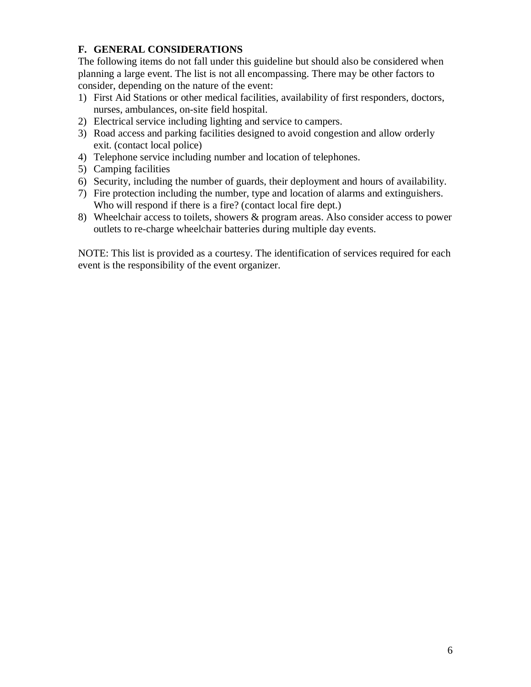# **F. GENERAL CONSIDERATIONS**

The following items do not fall under this guideline but should also be considered when planning a large event. The list is not all encompassing. There may be other factors to consider, depending on the nature of the event:

- 1) First Aid Stations or other medical facilities, availability of first responders, doctors, nurses, ambulances, on-site field hospital.
- 2) Electrical service including lighting and service to campers.
- 3) Road access and parking facilities designed to avoid congestion and allow orderly exit. (contact local police)
- 4) Telephone service including number and location of telephones.
- 5) Camping facilities
- 6) Security, including the number of guards, their deployment and hours of availability.
- 7) Fire protection including the number, type and location of alarms and extinguishers. Who will respond if there is a fire? (contact local fire dept.)
- 8) Wheelchair access to toilets, showers & program areas. Also consider access to power outlets to re-charge wheelchair batteries during multiple day events.

NOTE: This list is provided as a courtesy. The identification of services required for each event is the responsibility of the event organizer.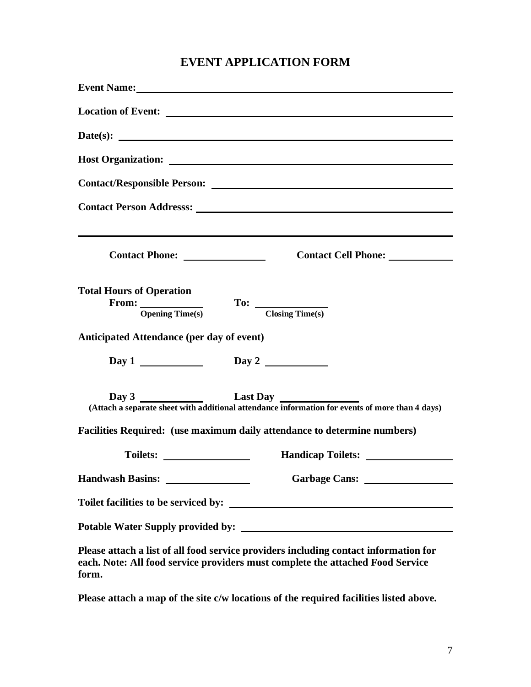# **EVENT APPLICATION FORM**

| Date(s):                                                                                                                                                                        |
|---------------------------------------------------------------------------------------------------------------------------------------------------------------------------------|
|                                                                                                                                                                                 |
|                                                                                                                                                                                 |
| Contact Person Addresss: New York Contact Person Address:                                                                                                                       |
| Contact Cell Phone: ____________                                                                                                                                                |
| <b>Total Hours of Operation</b><br>$\frac{1}{\text{Opening Time(s)}}$<br>$To:$ $\frac{1}{\text{Closing Time(s)}}$                                                               |
| <b>Anticipated Attendance (per day of event)</b>                                                                                                                                |
| Day 1 Day 2                                                                                                                                                                     |
| Day 3<br>Last Day<br>(Attach a separate sheet with additional attendance information for events of more than 4 days)                                                            |
| Facilities Required: (use maximum daily attendance to determine numbers)                                                                                                        |
|                                                                                                                                                                                 |
|                                                                                                                                                                                 |
|                                                                                                                                                                                 |
|                                                                                                                                                                                 |
| Please attach a list of all food service providers including contact information for<br>each. Note: All food service providers must complete the attached Food Service<br>form. |

**Please attach a map of the site c/w locations of the required facilities listed above.**